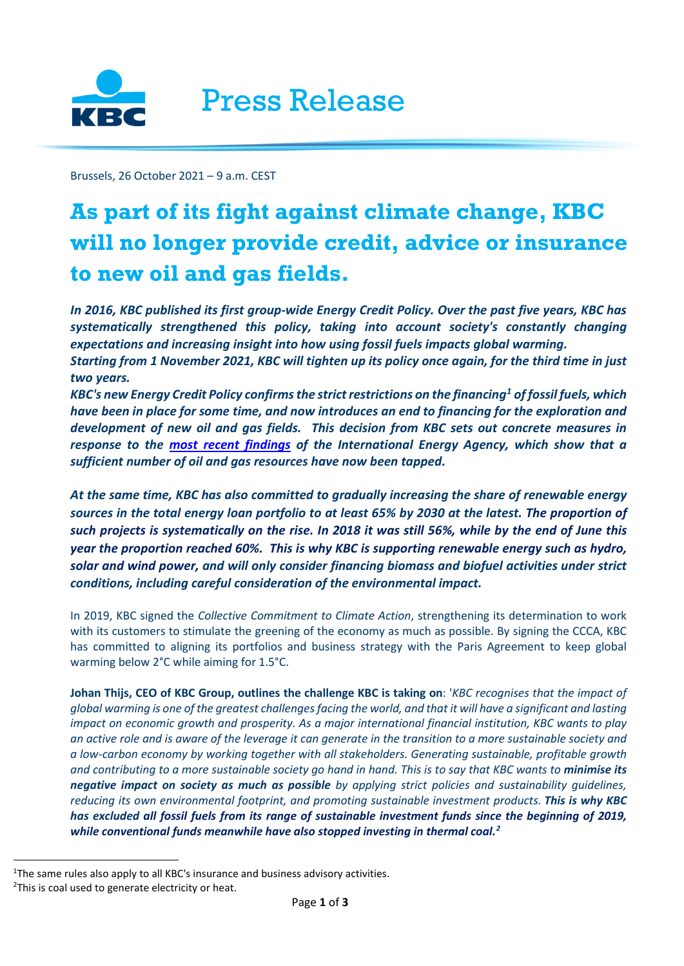

Brussels, 26 October 2021 – 9 a.m. CEST

# **As part of its fight against climate change, KBC will no longer provide credit, advice or insurance to new oil and gas fields.**

*In 2016, KBC published its first group-wide Energy Credit Policy. Over the past five years, KBC has systematically strengthened this policy, taking into account society's constantly changing expectations and increasing insight into how using fossil fuels impacts global warming. Starting from 1 November 2021, KBC will tighten up its policy once again, for the third time in just two years.*

*KBC's new Energy Credit Policy confirms the strict restrictions on the financing[1](#page-0-0) of fossil fuels, which have been in place for some time, and now introduces an end to financing for the exploration and development of new oil and gas fields. This decision from KBC sets out concrete measures in response to the [most recent findings](https://www.iea.org/reports/net-zero-by-2050) of the International Energy Agency, which show that a sufficient number of oil and gas resources have now been tapped.*

*At the same time, KBC has also committed to gradually increasing the share of renewable energy sources in the total energy loan portfolio to at least 65% by 2030 at the latest. The proportion of such projects is systematically on the rise. In 2018 it was still 56%, while by the end of June this year the proportion reached 60%. This is why KBC is supporting renewable energy such as hydro, solar and wind power, and will only consider financing biomass and biofuel activities under strict conditions, including careful consideration of the environmental impact.*

In 2019, KBC signed the *Collective Commitment to Climate Action*, strengthening its determination to work with its customers to stimulate the greening of the economy as much as possible. By signing the CCCA, KBC has committed to aligning its portfolios and business strategy with the Paris Agreement to keep global warming below 2°C while aiming for 1.5°C.

**Johan Thijs, CEO of KBC Group, outlines the challenge KBC is taking on**: '*KBC recognises that the impact of global warming is one of the greatest challenges facing the world, and that it will have a significant and lasting impact on economic growth and prosperity. As a major international financial institution, KBC wants to play an active role and is aware of the leverage it can generate in the transition to a more sustainable society and a low-carbon economy by working together with all stakeholders. Generating sustainable, profitable growth and contributing to a more sustainable society go hand in hand. This is to say that KBC wants to minimise its negative impact on society as much as possible by applying strict policies and sustainability guidelines, reducing its own environmental footprint, and promoting sustainable investment products. This is why KBC has excluded all fossil fuels from its range of sustainable investment funds since the beginning of 2019, while conventional funds meanwhile have also stopped investing in thermal coal.[2](#page-0-1)*

<span id="page-0-1"></span><span id="page-0-0"></span><sup>&</sup>lt;sup>1</sup>The same rules also apply to all KBC's insurance and business advisory activities. <sup>2</sup>This is coal used to generate electricity or heat.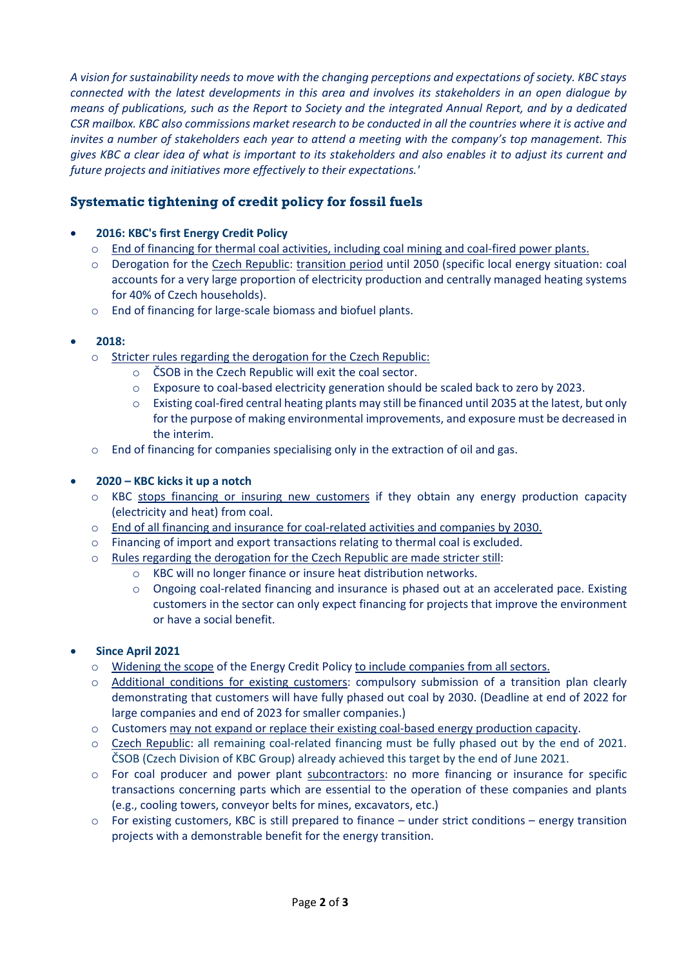*A vision for sustainability needs to move with the changing perceptions and expectations of society. KBC stays connected with the latest developments in this area and involves its stakeholders in an open dialogue by means of publications, such as the Report to Society and the integrated Annual Report, and by a dedicated CSR mailbox. KBC also commissions market research to be conducted in all the countries where it is active and invites a number of stakeholders each year to attend a meeting with the company's top management. This gives KBC a clear idea of what is important to its stakeholders and also enables it to adjust its current and future projects and initiatives more effectively to their expectations.'*

## **Systematic tightening of credit policy for fossil fuels**

### • **2016: KBC's first Energy Credit Policy**

- o End of financing for thermal coal activities, including coal mining and coal-fired power plants.
- o Derogation for the Czech Republic: transition period until 2050 (specific local energy situation: coal accounts for a very large proportion of electricity production and centrally managed heating systems for 40% of Czech households).
- o End of financing for large-scale biomass and biofuel plants.

#### • **2018:**

- o Stricter rules regarding the derogation for the Czech Republic:
	- o ČSOB in the Czech Republic will exit the coal sector.
	- o Exposure to coal-based electricity generation should be scaled back to zero by 2023.
	- o Existing coal-fired central heating plants may still be financed until 2035 at the latest, but only for the purpose of making environmental improvements, and exposure must be decreased in the interim.
- o End of financing for companies specialising only in the extraction of oil and gas.

#### • **2020 – KBC kicks it up a notch**

- o KBC stops financing or insuring new customers if they obtain any energy production capacity (electricity and heat) from coal.
- $\circ$  End of all financing and insurance for coal-related activities and companies by 2030.
- o Financing of import and export transactions relating to thermal coal is excluded.
- o Rules regarding the derogation for the Czech Republic are made stricter still:
	- o KBC will no longer finance or insure heat distribution networks.
	- $\circ$  Ongoing coal-related financing and insurance is phased out at an accelerated pace. Existing customers in the sector can only expect financing for projects that improve the environment or have a social benefit.

#### • **Since April 2021**

- o Widening the scope of the Energy Credit Policy to include companies from all sectors.
- o Additional conditions for existing customers: compulsory submission of a transition plan clearly demonstrating that customers will have fully phased out coal by 2030. (Deadline at end of 2022 for large companies and end of 2023 for smaller companies.)
- $\circ$  Customers may not expand or replace their existing coal-based energy production capacity.
- o Czech Republic: all remaining coal-related financing must be fully phased out by the end of 2021. ČSOB (Czech Division of KBC Group) already achieved this target by the end of June 2021.
- o For coal producer and power plant subcontractors: no more financing or insurance for specific transactions concerning parts which are essential to the operation of these companies and plants (e.g., cooling towers, conveyor belts for mines, excavators, etc.)
- $\circ$  For existing customers, KBC is still prepared to finance under strict conditions energy transition projects with a demonstrable benefit for the energy transition.